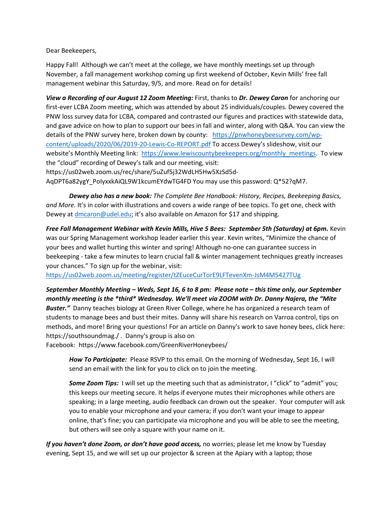Dear Beekeepers,

Happy Fall! Although we can't meet at the college, we have monthly meetings set up through November, a fall management workshop coming up first weekend of October, Kevin Mills' free fall management webinar this Saturday, 9/5, and more. Read on for details!

*View a Recording of our August 12 Zoom Meeting:* First, thanks to *Dr. Dewey Caron* for anchoring our first-ever LCBA Zoom meeting, which was attended by about 25 individuals/couples. Dewey covered the PNW loss survey data for LCBA, compared and contrasted our figures and practices with statewide data, and gave advice on how to plan to support our bees in fall and winter, along with Q&A. You can view the details of the PNW survey here, broken down by county: [https://pnwhoneybeesurvey.com/wp](https://pnwhoneybeesurvey.com/wp-content/uploads/2020/06/2019-20-Lewis-Co-REPORT.pdf)[content/uploads/2020/06/2019-20-Lewis-Co-REPORT.pdf](https://pnwhoneybeesurvey.com/wp-content/uploads/2020/06/2019-20-Lewis-Co-REPORT.pdf) To access Dewey's slideshow, visit our website's Monthly Meeting link: https://www.lewiscountybeekeepers.org/monthly meetings. To view the "cloud" recording of Dewey's talk and our meeting, visit: https://us02web.zoom.us/rec/share/5uZuf5j32WdLH5Hw5XzSd5d-

AqDPT6a82ygY\_PoIyxxkAiQL9W1kcumEYdwTG4FD You may use this password: Q\*52?qM7.

*Dewey also has a new book: The Complete Bee Handbook: History, Recipes, Beekeeping Basics, and More.* It's in color with illustrations and covers a wide range of bee topics. To get one, check with Dewey a[t dmcaron@udel.edu](mailto:dmcaron@udel.edu); it's also available on Amazon for \$17 and shipping.

**Free Fall Management Webinar with Kevin Mills, Hive 5 Bees: September 5th (Saturday) at 6pm. Kevin** was our Spring Management workshop leader earlier this year. Kevin writes, "Minimize the chance of your bees and wallet hurting this winter and spring! Although no-one can guarantee success in beekeeping - take a few minutes to learn crucial fall & winter management techniques greatly increases your chances." To sign up for the webinar, visit:

<https://us02web.zoom.us/meeting/register/tZEuceCurTorE9LFTevenXm-JsM4M5427TUg>

*September Monthly Meeting – Weds, Sept 16, 6 to 8 pm: Please note – this time only, our September monthly meeting is the \*third\* Wednesday. We'll meet via ZOOM with Dr. Danny Najera, the "Mite Buster."* Danny teaches biology at Green River College, where he has organized a research team of students to manage bees and bust their mites. Danny will share his research on Varroa control, tips on methods, and more! Bring your questions! For an article on Danny's work to save honey bees, click here: https://southsoundmag./ . Danny's group is also on

Facebook: https://www.facebook.com/GreenRiverHoneybees/

*How To Participate:* Please RSVP to this email. On the morning of Wednesday, Sept 16, I will send an email with the link for you to click on to join the meeting.

*Some Zoom Tips:* I will set up the meeting such that as administrator, I "click" to "admit" you; this keeps our meeting secure. It helps if everyone mutes their microphones while others are speaking; in a large meeting, audio feedback can drown out the speaker. Your computer will ask you to enable your microphone and your camera; if you don't want your image to appear online, that's fine; you can participate via microphone and you will be able to see the meeting, but others will see only a square with your name on it.

*If you haven't done Zoom, or don't have good access,* no worries; please let me know by Tuesday evening, Sept 15, and we will set up our projector & screen at the Apiary with a laptop; those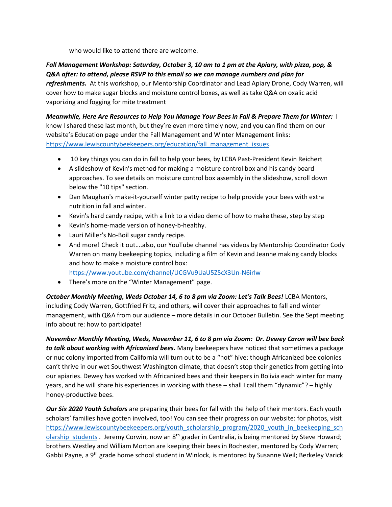who would like to attend there are welcome.

## *Fall Management Workshop: Saturday, October 3, 10 am to 1 pm at the Apiary, with pizza, pop, & Q&A after: to attend, please RSVP to this email so we can manage numbers and plan for refreshments.* At this workshop, our Mentorship Coordinator and Lead Apiary Drone, Cody Warren, will cover how to make sugar blocks and moisture control boxes, as well as take Q&A on oxalic acid vaporizing and fogging for mite treatment

*Meanwhile, Here Are Resources to Help You Manage Your Bees in Fall & Prepare Them for Winter:* I know I shared these last month, but they're even more timely now, and you can find them on our website's Education page under the Fall Management and Winter Management links: [https://www.lewiscountybeekeepers.org/education/fall\\_management\\_issues.](https://www.lewiscountybeekeepers.org/education/fall_management_issues)

- 10 key things you can do in fall to help your bees, by LCBA Past-President Kevin Reichert
- A slideshow of Kevin's method for making a moisture control box and his candy board approaches. To see details on moisture control box assembly in the slideshow, scroll down below the "10 tips" section.
- Dan Maughan's make-it-yourself winter patty recipe to help provide your bees with extra nutrition in fall and winter.
- Kevin's hard candy recipe, with a link to a video demo of how to make these, step by step
- Kevin's home-made version of honey-b-healthy.
- Lauri Miller's No-Boil sugar candy recipe.
- And more! Check it out....also, our YouTube channel has videos by Mentorship Coordinator Cody Warren on many beekeeping topics, including a film of Kevin and Jeanne making candy blocks and how to make a moisture control box:

<https://www.youtube.com/channel/UCGVu9UaU5Z5cX3Un-N6irIw>

• There's more on the "Winter Management" page.

**October Monthly Meeting, Weds October 14, 6 to 8 pm via Zoom: Let's Talk Bees!** LCBA Mentors, including Cody Warren, Gottfried Fritz, and others, will cover their approaches to fall and winter management, with Q&A from our audience – more details in our October Bulletin. See the Sept meeting info about re: how to participate!

*November Monthly Meeting, Weds, November 11, 6 to 8 pm via Zoom: Dr. Dewey Caron will bee back to talk about working with Africanized bees.* Many beekeepers have noticed that sometimes a package or nuc colony imported from California will turn out to be a "hot" hive: though Africanized bee colonies can't thrive in our wet Southwest Washington climate, that doesn't stop their genetics from getting into our apiaries. Dewey has worked with Africanized bees and their keepers in Bolivia each winter for many years, and he will share his experiences in working with these – shall I call them "dynamic"? – highly honey-productive bees.

*Our Six 2020 Youth Scholars* are preparing their bees for fall with the help of their mentors. Each youth scholars' families have gotten involved, too! You can see their progress on our website: for photos, visit [https://www.lewiscountybeekeepers.org/youth\\_scholarship\\_program/2020\\_youth\\_in\\_beekeeping\\_sch](https://www.lewiscountybeekeepers.org/youth_scholarship_program/2020_youth_in_beekeeping_scholarship_students) olarship students . Jeremy Corwin, now an 8<sup>th</sup> grader in Centralia, is being mentored by Steve Howard; brothers Westley and William Morton are keeping their bees in Rochester, mentored by Cody Warren; Gabbi Payne, a 9th grade home school student in Winlock, is mentored by Susanne Weil; Berkeley Varick